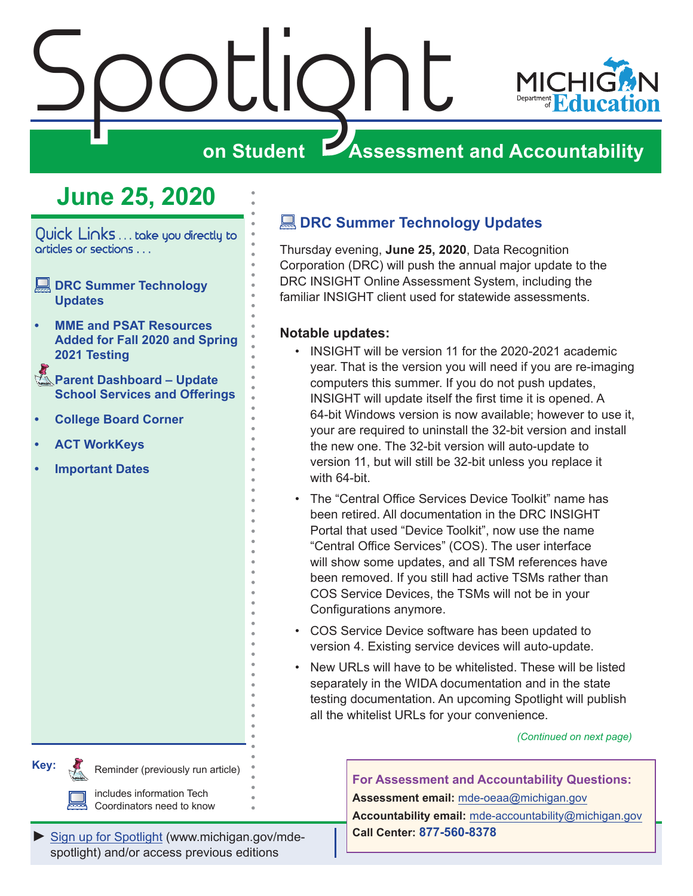<span id="page-0-0"></span>

### **June 25, 2020**

Quick Links . . . take you directly to articles or sections . . .

- **EDRC Summer Technology Updates**
- **• [MME and PSAT Resources](#page-1-0)  [Added for Fall 2020 and Spring](#page-1-0) [2021 Testing](#page-1-0)**
- Reminders **[Parent Dashboard Update](#page-1-0)  [School Services and Offerings](#page-1-0)**
- **• [College Board Corner](#page-3-0)**
- **• [ACT WorkKeys](#page-5-0)**
- **• [Important Dates](#page-6-0)**

**Key:**

Reminders

#### **EDRC Summer Technology Updates**

Thursday evening, **June 25, 2020**, Data Recognition Corporation (DRC) will push the annual major update to the DRC INSIGHT Online Assessment System, including the familiar INSIGHT client used for statewide assessments.

#### **Notable updates:**

- INSIGHT will be version 11 for the 2020-2021 academic year. That is the version you will need if you are re-imaging computers this summer. If you do not push updates, INSIGHT will update itself the first time it is opened. A 64-bit Windows version is now available; however to use it, your are required to uninstall the 32-bit version and install the new one. The 32-bit version will auto-update to version 11, but will still be 32-bit unless you replace it with 64-bit.
- The "Central Office Services Device Toolkit" name has been retired. All documentation in the DRC INSIGHT Portal that used "Device Toolkit", now use the name "Central Office Services" (COS). The user interface will show some updates, and all TSM references have been removed. If you still had active TSMs rather than COS Service Devices, the TSMs will not be in your Configurations anymore.
- COS Service Device software has been updated to version 4. Existing service devices will auto-update.
- New URLs will have to be whitelisted. These will be listed separately in the WIDA documentation and in the state testing documentation. An upcoming Spotlight will publish all the whitelist URLs for your convenience.

*(Continued on next page)*

**For Assessment and Accountability Questions: Assessment email:** mde-oeaa[@michigan.gov](mailto:mde-oeaa%40michigan.gov?subject=assessment%20question) **Accountability email:** mde[-accountability@michigan.gov](mailto:MDE-Accountability%40michigan.gov?subject=Accountability%20question) **Call Center: 877-560-8378**

*►* [Sign up for Spotlight](https://public.govdelivery.com/accounts/MIMDE/subscriber/new) [\(www.michigan.gov/mde](www.michigan.gov/mde-spotlight)spotlight) and/or access previous editions

Reminder (previously run article)

includes information Tech Coordinators need to know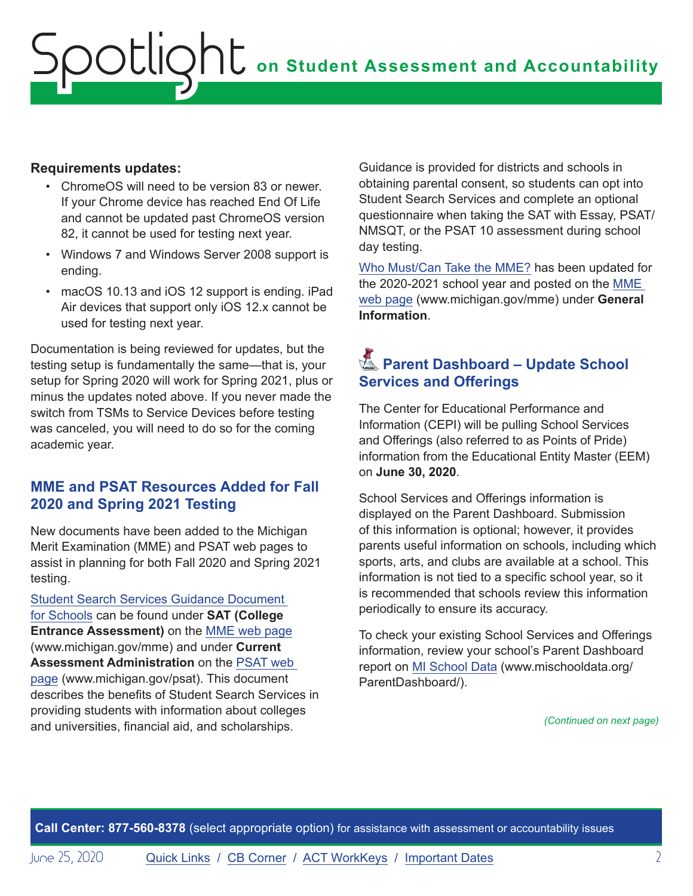#### <span id="page-1-0"></span>**Requirements updates:**

- ChromeOS will need to be version 83 or newer. If your Chrome device has reached End Of Life and cannot be updated past ChromeOS version 82, it cannot be used for testing next year.
- Windows 7 and Windows Server 2008 support is ending.
- macOS 10.13 and iOS 12 support is ending. iPad Air devices that support only iOS 12.x cannot be used for testing next year.

Documentation is being reviewed for updates, but the testing setup is fundamentally the same—that is, your setup for Spring 2020 will work for Spring 2021, plus or minus the updates noted above. If you never made the switch from TSMs to Service Devices before testing was canceled, you will need to do so for the coming academic year.

#### **MME and PSAT Resources Added for Fall 2020 and Spring 2021 Testing**

New documents have been added to the Michigan Merit Examination (MME) and PSAT web pages to assist in planning for both Fall 2020 and Spring 2021 testing.

[Student Search Services Guidance Document](https://www.michigan.gov/documents/mde/Student_Search_Service_Guidance_Document_694980_7.pdf)  [for Schools](https://www.michigan.gov/documents/mde/Student_Search_Service_Guidance_Document_694980_7.pdf) can be found under **SAT (College Entrance Assessment)** on the [MME web page](www.michigan.gov/mme) (www.michigan.gov/mme) and under **Current Assessment Administration** on the [PSAT web](http://www.michigan.gov/psat)  [page](http://www.michigan.gov/psat) (www.michigan.gov/psat). This document describes the benefits of Student Search Services in providing students with information about colleges and universities, financial aid, and scholarships.

Guidance is provided for districts and schools in obtaining parental consent, so students can opt into Student Search Services and complete an optional questionnaire when taking the SAT with Essay, PSAT/ NMSQT, or the PSAT 10 assessment during school day testing.

[Who Must/Can Take the MME?](https://www.michigan.gov/documents/mde/MME_Eligibility_544301_7.pdf) has been updated for the 2020-2021 school year and posted on the [MME](www.michigan.gov/mme)  [web page](www.michigan.gov/mme) (www.michigan.gov/mme) under **General Information**.

### Reminders **Parent Dashboard – Update School Services and Offerings**

The Center for Educational Performance and Information (CEPI) will be pulling School Services and Offerings (also referred to as Points of Pride) information from the Educational Entity Master (EEM) on **June 30, 2020**.

School Services and Offerings information is displayed on the Parent Dashboard. Submission of this information is optional; however, it provides parents useful information on schools, including which sports, arts, and clubs are available at a school. This information is not tied to a specific school year, so it is recommended that schools review this information periodically to ensure its accuracy.

To check your existing School Services and Offerings information, review your school's Parent Dashboard report on [MI School Data](http://www.mischooldata.org/ParentDashboard/) (www.mischooldata.org/ ParentDashboard/).

*(Continued on next page)*

**Call Center: 877-560-8378** (select appropriate option) for assistance with assessment or accountability issues

June 25, 2020 **[Quick Links](#page-0-0) / [CB Corner](#page-3-1) / [ACT WorkKeys](#page-5-0) / [Important Dates](#page-6-1)** 2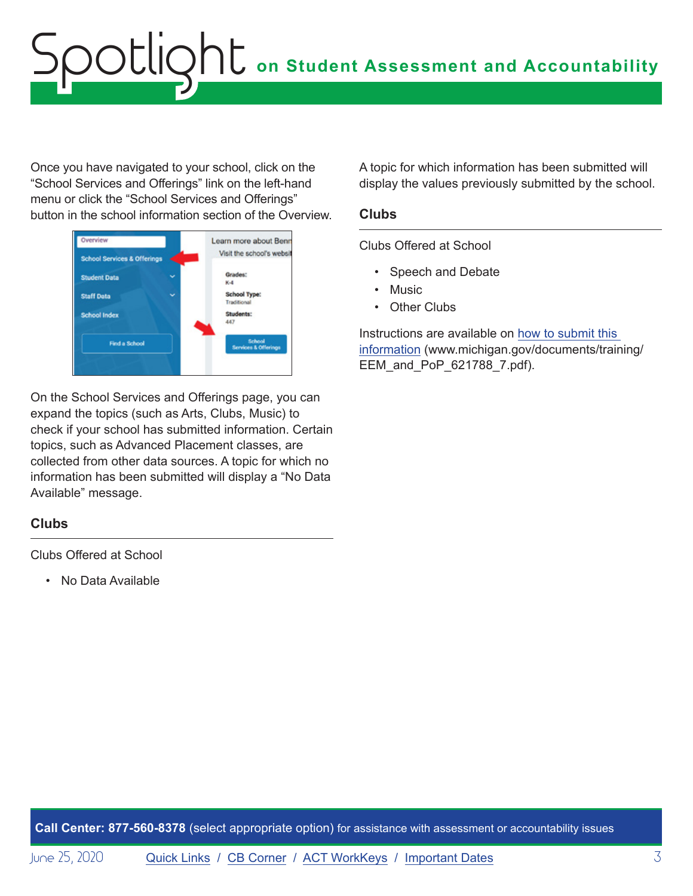# **on Student Assessment and Accountability** Spotlight

Once you have navigated to your school, click on the "School Services and Offerings" link on the left-hand menu or click the "School Services and Offerings" button in the school information section of the Overview.



On the School Services and Offerings page, you can expand the topics (such as Arts, Clubs, Music) to check if your school has submitted information. Certain topics, such as Advanced Placement classes, are collected from other data sources. A topic for which no information has been submitted will display a "No Data Available" message.

#### **Clubs**

Clubs Offered at School

• No Data Available

A topic for which information has been submitted will display the values previously submitted by the school.

#### **Clubs**

Clubs Offered at School

- Speech and Debate
- Music
- Other Clubs

Instructions are available on [how to submit this](https://www.michigan.gov/documents/training/EEM_and_PoP_621788_7.pdf)  [information](https://www.michigan.gov/documents/training/EEM_and_PoP_621788_7.pdf) (www.michigan.gov/documents/training/ EEM\_and\_PoP\_621788\_7.pdf).

**Call Center: 877-560-8378** (select appropriate option) for assistance with assessment or accountability issues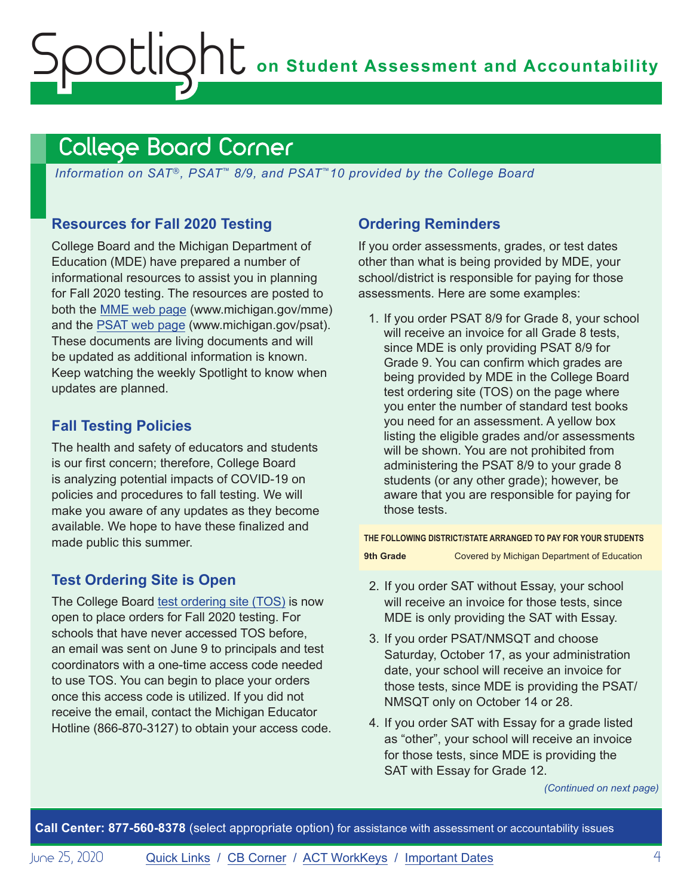# <span id="page-3-0"></span>**ONE** on Student Assessment and Accountability potlic

### <span id="page-3-1"></span>College Board Corner

*Information on SAT*®*, PSAT*™ *8/9, and PSAT*™*10 provided by the College Board*

#### **Resources for Fall 2020 Testing**

College Board and the Michigan Department of Education (MDE) have prepared a number of informational resources to assist you in planning for Fall 2020 testing. The resources are posted to both the [MME web page](www.michigan.gov/mme) (www.michigan.gov/mme) and the [PSAT web page](http://www.michigan.gov/psat) (www.michigan.gov/psat). These documents are living documents and will be updated as additional information is known. Keep watching the weekly Spotlight to know when updates are planned.

#### **Fall Testing Policies**

The health and safety of educators and students is our first concern; therefore, College Board is analyzing potential impacts of COVID-19 on policies and procedures to fall testing. We will make you aware of any updates as they become available. We hope to have these finalized and made public this summer.

#### **Test Ordering Site is Open**

The College Board [test ordering site \(TOS\)](https://professionals.collegeboard.org/test-ordering-services) is now open to place orders for Fall 2020 testing. For schools that have never accessed TOS before, an email was sent on June 9 to principals and test coordinators with a one-time access code needed to use TOS. You can begin to place your orders once this access code is utilized. If you did not receive the email, contact the Michigan Educator Hotline (866-870-3127) to obtain your access code.

#### **Ordering Reminders**

If you order assessments, grades, or test dates other than what is being provided by MDE, your school/district is responsible for paying for those assessments. Here are some examples:

1. If you order PSAT 8/9 for Grade 8, your school will receive an invoice for all Grade 8 tests, since MDE is only providing PSAT 8/9 for Grade 9. You can confirm which grades are being provided by MDE in the College Board test ordering site (TOS) on the page where you enter the number of standard test books you need for an assessment. A yellow box listing the eligible grades and/or assessments will be shown. You are not prohibited from administering the PSAT 8/9 to your grade 8 students (or any other grade); however, be aware that you are responsible for paying for those tests.

**THE FOLLOWING DISTRICT/STATE ARRANGED TO PAY FOR YOUR STUDENTS**

**9th Grade Covered by Michigan Department of Education** 

- 2. If you order SAT without Essay, your school will receive an invoice for those tests, since MDE is only providing the SAT with Essay.
- 3. If you order PSAT/NMSQT and choose Saturday, October 17, as your administration date, your school will receive an invoice for those tests, since MDE is providing the PSAT/ NMSQT only on October 14 or 28.
- 4. If you order SAT with Essay for a grade listed as "other", your school will receive an invoice for those tests, since MDE is providing the SAT with Essay for Grade 12.

*(Continued on next page)*

**Call Center: 877-560-8378** (select appropriate option) for assistance with assessment or accountability issues

June 25, 2020 [Quick Links](#page-0-0) / [CB Corner](#page-3-1) / [ACT WorkKeys](#page-5-0) / [Important Dates](#page-6-1) 4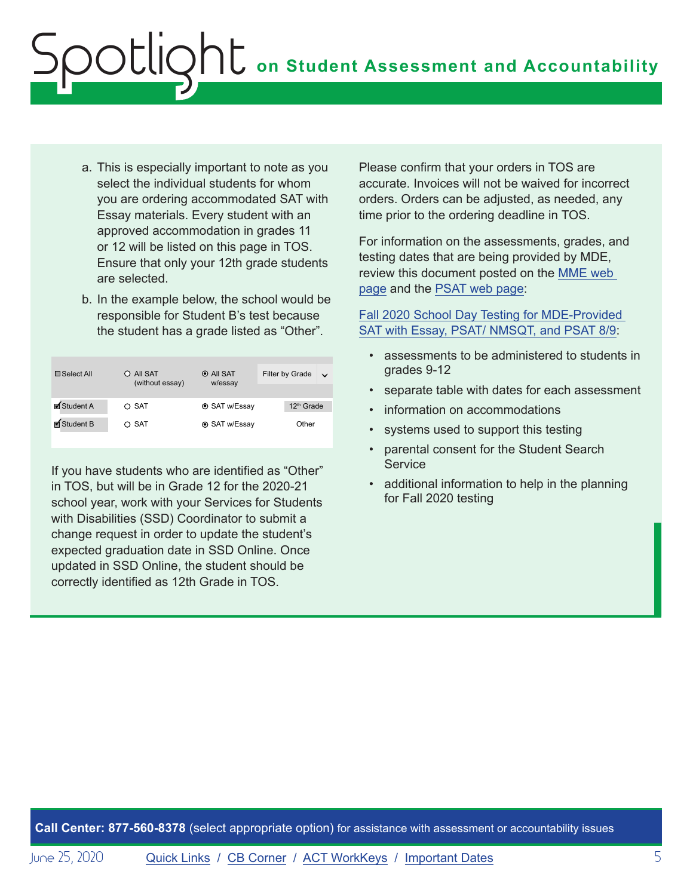# **on Student Assessment and Accountability** Spotlight

- a. This is especially important to note as you select the individual students for whom you are ordering accommodated SAT with Essay materials. Every student with an approved accommodation in grades 11 or 12 will be listed on this page in TOS. Ensure that only your 12th grade students are selected.
- b. In the example below, the school would be responsible for Student B's test because the student has a grade listed as "Other".

| $\Box$ Select All        | O All SAT<br>(without essay) | $\odot$ All SAT<br>w/essay | Filter by Grade<br>$\vee$ |
|--------------------------|------------------------------|----------------------------|---------------------------|
|                          |                              |                            |                           |
| $\blacksquare$ Student A | $\circ$ SAT                  | <b>⊙</b> SAT w/Essay       | 12 <sup>th</sup> Grade    |
| ■ Student B              | $\circ$ SAT                  | <b>⊙</b> SAT w/Essay       | Other                     |

If you have students who are identified as "Other" in TOS, but will be in Grade 12 for the 2020-21 school year, work with your Services for Students with Disabilities (SSD) Coordinator to submit a change request in order to update the student's expected graduation date in SSD Online. Once updated in SSD Online, the student should be correctly identified as 12th Grade in TOS.

Please confirm that your orders in TOS are accurate. Invoices will not be waived for incorrect orders. Orders can be adjusted, as needed, any time prior to the ordering deadline in TOS.

For information on the assessments, grades, and testing dates that are being provided by MDE, review this document posted on the [MME web](www.michigan.gov/mme)  [page](www.michigan.gov/mme) and the [PSAT web page](http://www.michigan.gov/psat):

[Fall 2020 School Day Testing for MDE-Provided](https://www.michigan.gov/documents/mde/Fall_2020_School_Day_Testing_for_MDE_Provided_Assessments_690609_7.pdf)  [SAT with Essay, PSAT/ NMSQT, and PSAT 8/9:](https://www.michigan.gov/documents/mde/Fall_2020_School_Day_Testing_for_MDE_Provided_Assessments_690609_7.pdf)

- assessments to be administered to students in grades 9-12
- separate table with dates for each assessment
- information on accommodations
- systems used to support this testing
- parental consent for the Student Search **Service**
- additional information to help in the planning for Fall 2020 testing

**Call Center: 877-560-8378** (select appropriate option) for assistance with assessment or accountability issues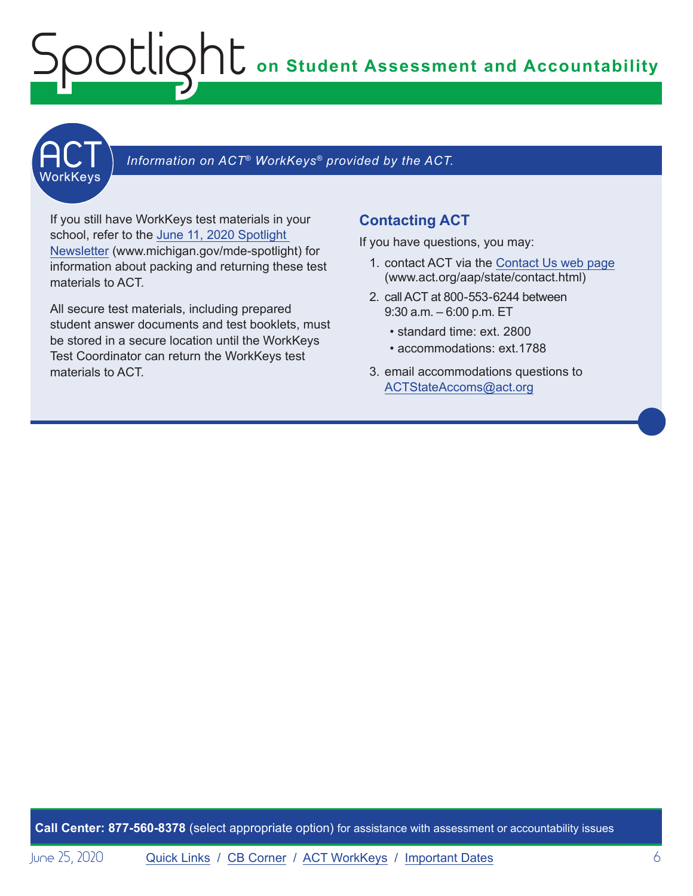# <span id="page-5-0"></span>**on Student Assessment and Accountability** Spotlight



## $\begin{array}{|l|l|} \hline \textbf{U} & \textbf{Information on ACT}^\circ \textit{Workkeys}^\circ \textit{ provided by the ACT} \hline \end{array}$

If you still have WorkKeys test materials in your school, refer to the [June 11, 2020 Spotlight](https://www.michigan.gov/documents/mde/Spotlight_6-11-20_693650_7.pdf)  [Newsletter](https://www.michigan.gov/documents/mde/Spotlight_6-11-20_693650_7.pdf) (www.michigan.gov/mde-spotlight) for information about packing and returning these test materials to ACT.

All secure test materials, including prepared student answer documents and test booklets, must be stored in a secure location until the WorkKeys Test Coordinator can return the WorkKeys test materials to ACT.

#### **Contacting ACT**

If you have questions, you may:

- 1. contact ACT via the [Contact Us web page](http://www.act.org/aap/state/contact.html) ([www.act.org/aap/state/contact.html](https://www.act.org/aap/state/contact.html))
- 2. call ACT at 800-553-6244 between 9:30 a.m. – 6:00 p.m. ET
	- standard time: ext. 2800
	- accommodations: ext.1788
- 3. email accommodations questions to [ACTStateAccoms@act.org](mailto:ACTStateAccoms%40act.org?subject=)

**Call Center: 877-560-8378** (select appropriate option) for assistance with assessment or accountability issues